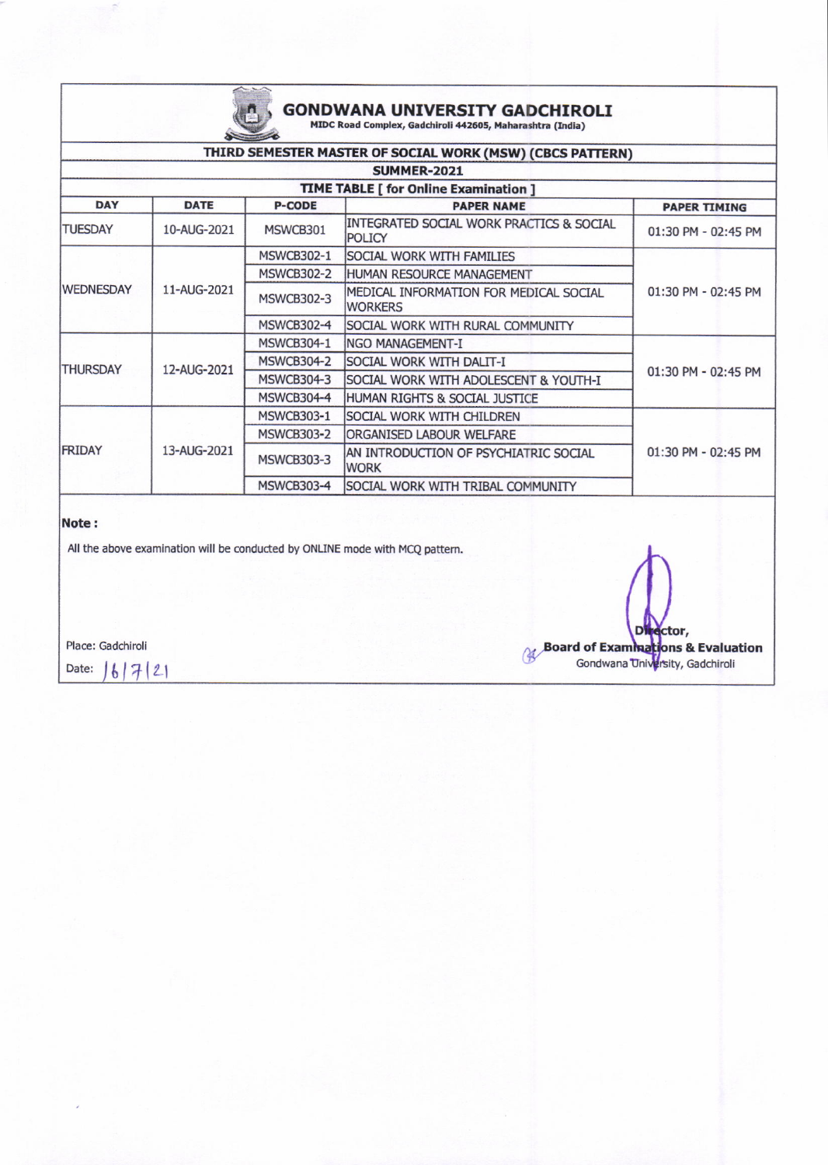

### GONDWANA UNIVERSITY GADCHIROLI

MIDC Road Complex, Gadchiroli 442605, Maharashtra (India)

| THIRD SEMESTER MASTER OF SOCIAL WORK (MSW) (CBCS PATTERN) |             |                   |                                                          |                     |  |  |  |  |  |
|-----------------------------------------------------------|-------------|-------------------|----------------------------------------------------------|---------------------|--|--|--|--|--|
| <b>SUMMER-2021</b>                                        |             |                   |                                                          |                     |  |  |  |  |  |
| <b>TIME TABLE [ for Online Examination ]</b>              |             |                   |                                                          |                     |  |  |  |  |  |
| <b>DAY</b>                                                | <b>DATE</b> | <b>P-CODE</b>     | <b>PAPER NAME</b>                                        | <b>PAPER TIMING</b> |  |  |  |  |  |
| <b>TUESDAY</b>                                            | 10-AUG-2021 | MSWCB301          | INTEGRATED SOCIAL WORK PRACTICS & SOCIAL<br>POLICY       | 01:30 PM - 02:45 PM |  |  |  |  |  |
| <b>WEDNESDAY</b>                                          | 11-AUG-2021 | <b>MSWCB302-1</b> | <b>SOCIAL WORK WITH FAMILIES</b>                         | 01:30 PM - 02:45 PM |  |  |  |  |  |
|                                                           |             | <b>MSWCB302-2</b> | HUMAN RESOURCE MANAGEMENT                                |                     |  |  |  |  |  |
|                                                           |             | <b>MSWCB302-3</b> | MEDICAL INFORMATION FOR MEDICAL SOCIAL<br><b>WORKERS</b> |                     |  |  |  |  |  |
|                                                           |             | <b>MSWCB302-4</b> | SOCIAL WORK WITH RURAL COMMUNITY                         |                     |  |  |  |  |  |
| <b>THURSDAY</b>                                           | 12-AUG-2021 | <b>MSWCB304-1</b> | NGO MANAGEMENT-I                                         | 01:30 PM - 02:45 PM |  |  |  |  |  |
|                                                           |             | <b>MSWCB304-2</b> | <b>SOCIAL WORK WITH DALIT-I</b>                          |                     |  |  |  |  |  |
|                                                           |             | MSWCB304-3        | SOCIAL WORK WITH ADOLESCENT & YOUTH-I                    |                     |  |  |  |  |  |
|                                                           |             | <b>MSWCB304-4</b> | HUMAN RIGHTS & SOCIAL JUSTICE                            |                     |  |  |  |  |  |
| <b>FRIDAY</b>                                             | 13-AUG-2021 | <b>MSWCB303-1</b> | <b>SOCIAL WORK WITH CHILDREN</b>                         | 01:30 PM - 02:45 PM |  |  |  |  |  |
|                                                           |             | <b>MSWCB303-2</b> | <b>ORGANISED LABOUR WELFARE</b>                          |                     |  |  |  |  |  |
|                                                           |             | <b>MSWCB303-3</b> | AN INTRODUCTION OF PSYCHIATRIC SOCIAL<br><b>WORK</b>     |                     |  |  |  |  |  |
|                                                           |             | MSWCB303-4        | SOCIAL WORK WITH TRIBAL COMMUNITY                        |                     |  |  |  |  |  |

#### Note:

All the above examination will be conducted by ONLINE mode with MCQ pattern.

Place; Gadchiroli

Date:  $|6|7|21$ 

ctor, D Board of Examinations & Evaluation<br>Gondwana University, Gadchiroli rsity, Gadchirol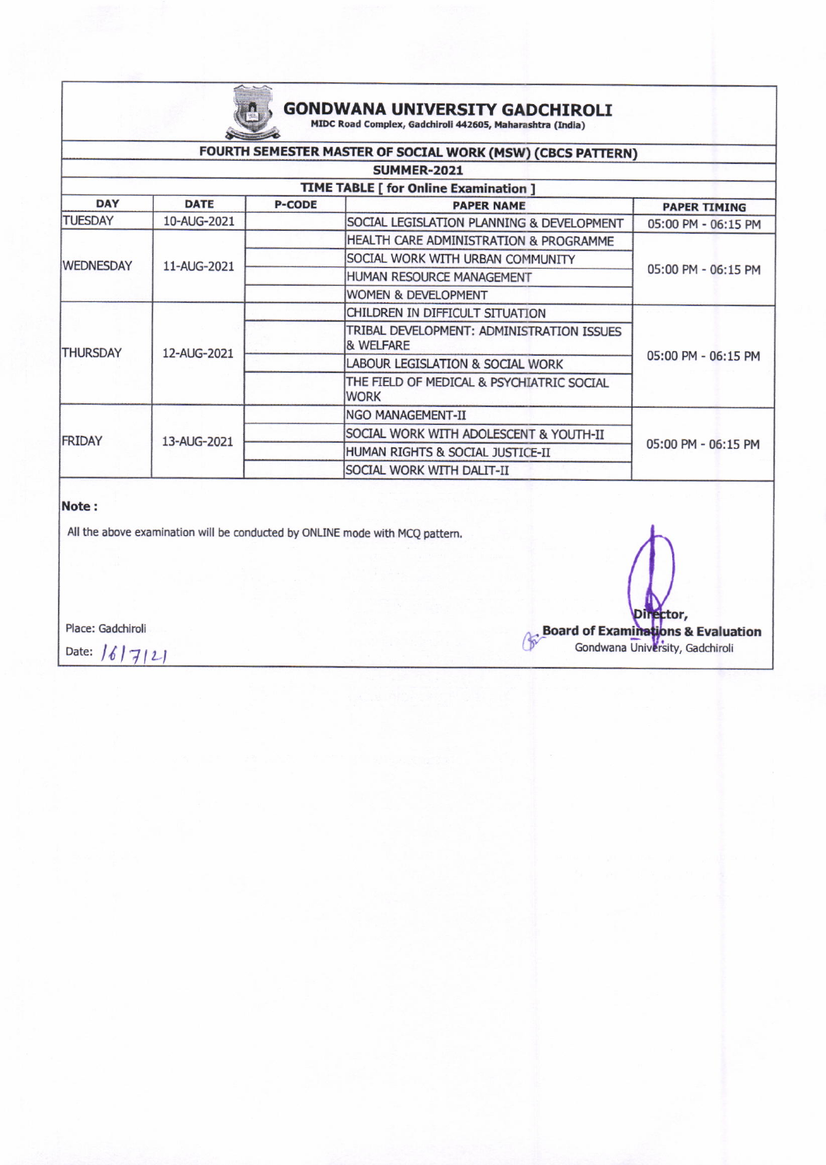# **GONDWANA UNIVERSITY GADCHIROLI**<br>MIDC Road Complex, Gadchiroli 442605, Maharashtra (India)

|                                                            |                    | <b>Contract Services</b> |                                                                   |                     |  |  |  |  |  |
|------------------------------------------------------------|--------------------|--------------------------|-------------------------------------------------------------------|---------------------|--|--|--|--|--|
| FOURTH SEMESTER MASTER OF SOCIAL WORK (MSW) (CBCS PATTERN) |                    |                          |                                                                   |                     |  |  |  |  |  |
|                                                            | <b>SUMMER-2021</b> |                          |                                                                   |                     |  |  |  |  |  |
| <b>TIME TABLE [ for Online Examination ]</b>               |                    |                          |                                                                   |                     |  |  |  |  |  |
| <b>DAY</b>                                                 | <b>DATE</b>        | <b>P-CODE</b>            | <b>PAPER NAME</b>                                                 | <b>PAPER TIMING</b> |  |  |  |  |  |
| <b>TUESDAY</b>                                             | 10-AUG-2021        |                          | SOCIAL LEGISLATION PLANNING & DEVELOPMENT                         | 05:00 PM - 06:15 PM |  |  |  |  |  |
| <b>WEDNESDAY</b>                                           | 11-AUG-2021        |                          | HEALTH CARE ADMINISTRATION & PROGRAMME                            | 05:00 PM - 06:15 PM |  |  |  |  |  |
|                                                            |                    |                          | SOCIAL WORK WITH URBAN COMMUNITY                                  |                     |  |  |  |  |  |
|                                                            |                    |                          | HUMAN RESOURCE MANAGEMENT                                         |                     |  |  |  |  |  |
|                                                            |                    |                          | <b>WOMEN &amp; DEVELOPMENT</b>                                    |                     |  |  |  |  |  |
| <b>THURSDAY</b>                                            | 12-AUG-2021        |                          | CHILDREN IN DIFFICULT SITUATION                                   | 05:00 PM - 06:15 PM |  |  |  |  |  |
|                                                            |                    |                          | TRIBAL DEVELOPMENT: ADMINISTRATION ISSUES<br><b>&amp; WELFARE</b> |                     |  |  |  |  |  |
|                                                            |                    |                          | LABOUR LEGISLATION & SOCIAL WORK                                  |                     |  |  |  |  |  |
|                                                            |                    |                          | THE FIELD OF MEDICAL & PSYCHIATRIC SOCIAL<br><b>WORK</b>          |                     |  |  |  |  |  |
| <b>FRIDAY</b>                                              | 13-AUG-2021        |                          | NGO MANAGEMENT-II                                                 | 05:00 PM - 06:15 PM |  |  |  |  |  |
|                                                            |                    |                          | SOCIAL WORK WITH ADOLESCENT & YOUTH-II                            |                     |  |  |  |  |  |
|                                                            |                    |                          | HUMAN RIGHTS & SOCIAL JUSTICE-II                                  |                     |  |  |  |  |  |
|                                                            |                    |                          | SOCIAL WORK WITH DALIT-II                                         |                     |  |  |  |  |  |

#### Note:

All the above examination will be conducted by ONLINE mode with MCQ pattern.

Place: Gadchiroli

Date:  $16|7121$ 

ctor, Board of Examinations & Evaluation<br>Gondwana University, Gadchiroli